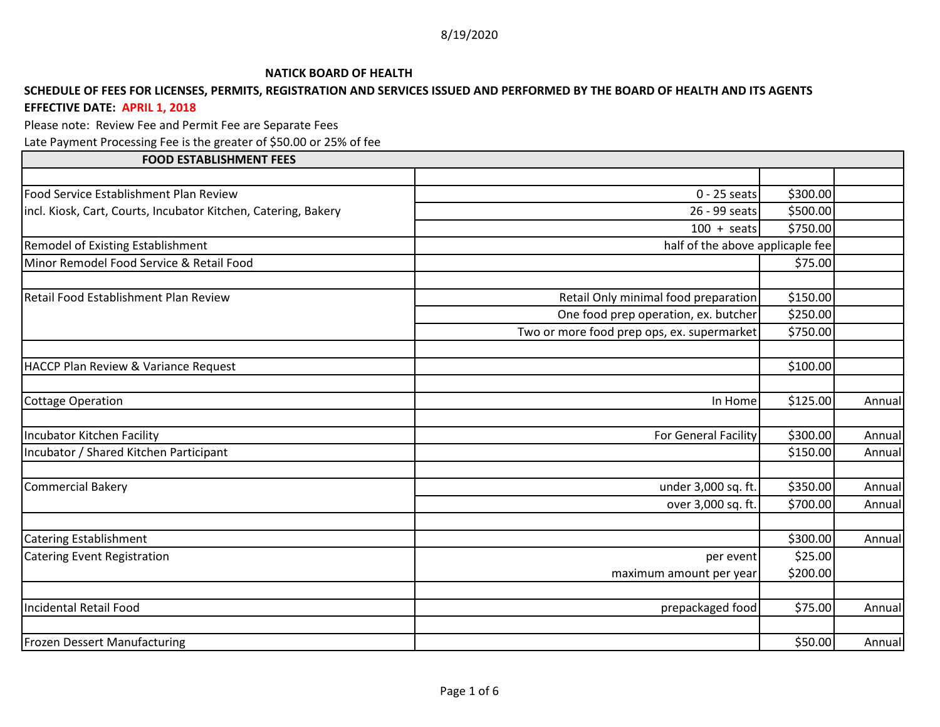## **NATICK BOARD OF HEALTH**

## **SCHEDULE OF FEES FOR LICENSES, PERMITS, REGISTRATION AND SERVICES ISSUED AND PERFORMED BY THE BOARD OF HEALTH AND ITS AGENTS EFFECTIVE DATE: APRIL 1, 2018**

Please note: Review Fee and Permit Fee are Separate Fees

Late Payment Processing Fee is the greater of \$50.00 or 25% of fee

## **FOOD ESTABLISHMENT FEES** Food Service Establishment Plan Review 0 - 25 seats \$300.00 incl. Kiosk, Cart, Courts, Incubator Kitchen, Catering, Bakery 26 - 20 - 26 - 99 seats \$500.00  $100 + \text{seats}$  , and  $5750.00$ Remodel of Existing Establishment half of the above applicaple fee Minor Remodel Food Service & Retail Food \$75.00 Retail Food Establishment Plan Review **Retail Only minimal food preparation Retail Only minimal food preparation** \$150.00 One food prep operation, ex. butcher  $\vert$  \$250.00 Two or more food prep ops, ex. supermarket  $\vert$  \$750.00 HACCP Plan Review & Variance Request  $\sim$  \$100.00 Cottage Operation **In Annual Annual State of Annual Annual** Annual State of Annual Annual State of Annual State of Annual State of Annual State of Annual State of Annual State of Annual State of Annual State of Annual Stat Incubator Kitchen Facility For General Facility Annual Annual Research Studies of Seneral Facility Annual Annual Incubator / Shared Kitchen Participant \$150.00 Annual Commercial Bakery under 3,000 sq. ft. \$350.00 Annual over 3,000 sq. ft. | \$700.00 Annual Catering Establishment \$300.00 Annual Catering Event Registration **by the contract of the contract of the contract of the contract of the contract of the contract of the contract of the S25.00**  $\vert$ maximum amount per year  $\vert$  \$200.00 Incidental Retail Food prepackaged food \$75.00 Annual Frozen Dessert Manufacturing \$50.00 Annual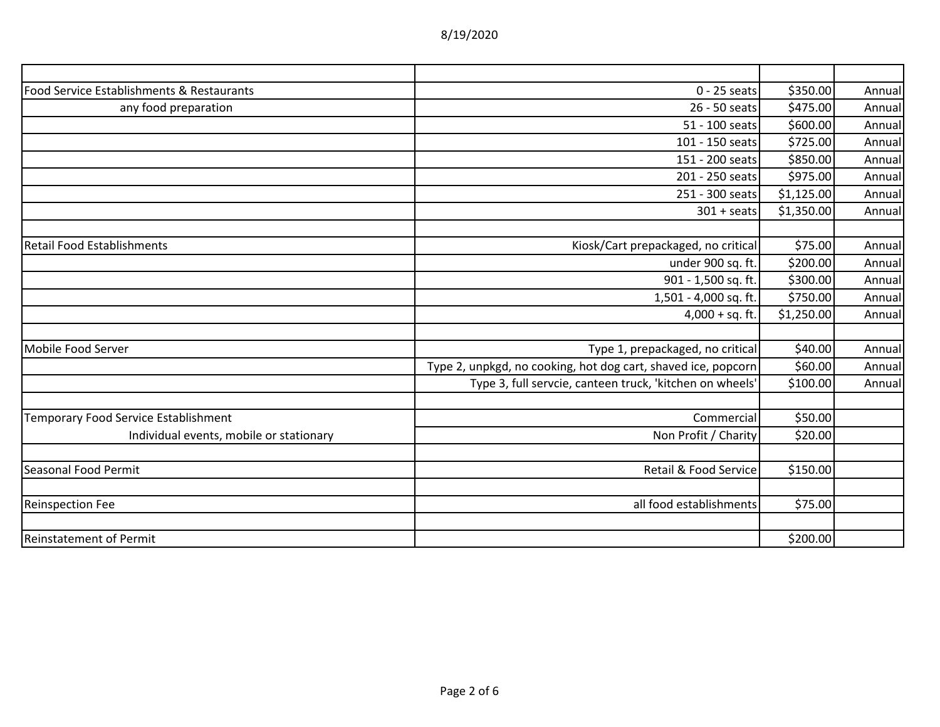| 8/19/2020 |  |
|-----------|--|
|-----------|--|

| Food Service Establishments & Restaurants | $0 - 25$ seats                                                | \$350.00   | Annual |
|-------------------------------------------|---------------------------------------------------------------|------------|--------|
| any food preparation                      | 26 - 50 seats                                                 | \$475.00   | Annual |
|                                           | 51 - 100 seats                                                | \$600.00   | Annual |
|                                           | 101 - 150 seats                                               | \$725.00   | Annual |
|                                           | 151 - 200 seats                                               | \$850.00   | Annual |
|                                           | 201 - 250 seats                                               | \$975.00   | Annual |
|                                           | 251 - 300 seats                                               | \$1,125.00 | Annual |
|                                           | $301 + \text{seats}$                                          | \$1,350.00 | Annual |
| Retail Food Establishments                | Kiosk/Cart prepackaged, no critical                           | \$75.00    | Annual |
|                                           | under 900 sq. ft.                                             | \$200.00   | Annual |
|                                           | 901 - 1,500 sq. ft.                                           | \$300.00   | Annual |
|                                           | 1,501 - 4,000 sq. ft.                                         | \$750.00   | Annual |
|                                           | $4,000 + sq.$ ft.                                             | \$1,250.00 | Annual |
|                                           |                                                               |            |        |
| Mobile Food Server                        | Type 1, prepackaged, no critical                              | \$40.00    | Annual |
|                                           | Type 2, unpkgd, no cooking, hot dog cart, shaved ice, popcorn | \$60.00    | Annual |
|                                           | Type 3, full servcie, canteen truck, 'kitchen on wheels'      | \$100.00   | Annual |
| Temporary Food Service Establishment      | Commercial                                                    | \$50.00    |        |
| Individual events, mobile or stationary   | Non Profit / Charity                                          | \$20.00    |        |
| Seasonal Food Permit                      | Retail & Food Service                                         | \$150.00   |        |
|                                           |                                                               |            |        |
| <b>Reinspection Fee</b>                   | all food establishments                                       | \$75.00    |        |
|                                           |                                                               |            |        |
| <b>Reinstatement of Permit</b>            |                                                               | \$200.00   |        |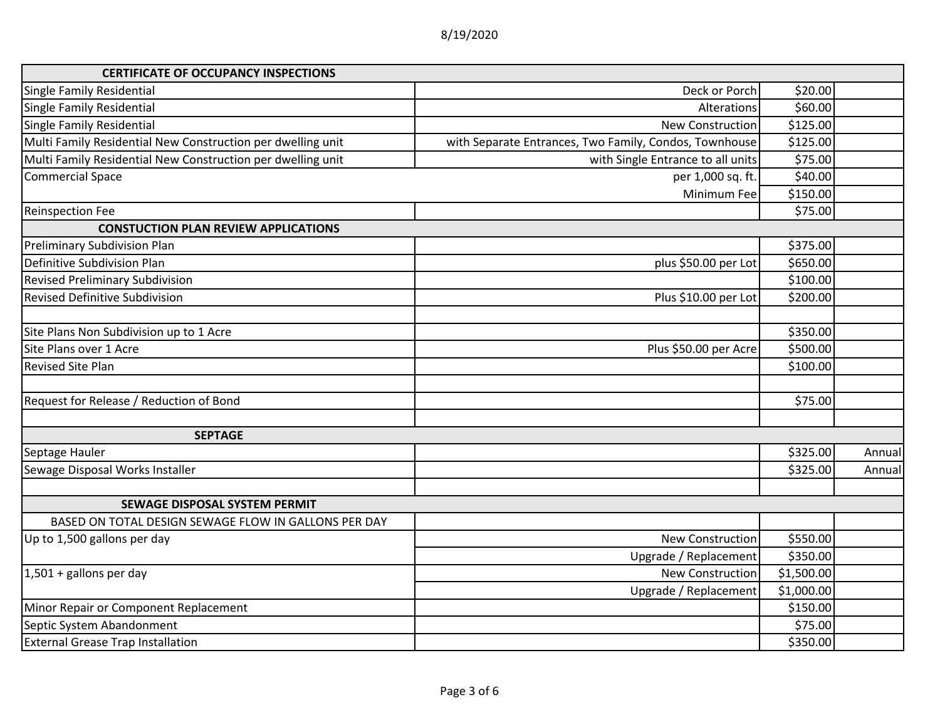| <b>CERTIFICATE OF OCCUPANCY INSPECTIONS</b>                 |                                                        |            |        |
|-------------------------------------------------------------|--------------------------------------------------------|------------|--------|
| <b>Single Family Residential</b>                            | Deck or Porch                                          | \$20.00    |        |
| <b>Single Family Residential</b>                            | Alterations                                            | \$60.00    |        |
| <b>Single Family Residential</b>                            | <b>New Construction</b>                                | \$125.00   |        |
| Multi Family Residential New Construction per dwelling unit | with Separate Entrances, Two Family, Condos, Townhouse | \$125.00   |        |
| Multi Family Residential New Construction per dwelling unit | with Single Entrance to all units                      | \$75.00    |        |
| <b>Commercial Space</b>                                     | per 1,000 sq. ft.                                      | \$40.00    |        |
|                                                             | Minimum Fee                                            | \$150.00   |        |
| <b>Reinspection Fee</b>                                     |                                                        | \$75.00    |        |
| <b>CONSTUCTION PLAN REVIEW APPLICATIONS</b>                 |                                                        |            |        |
| Preliminary Subdivision Plan                                |                                                        | \$375.00   |        |
| Definitive Subdivision Plan                                 | plus \$50.00 per Lot                                   | \$650.00   |        |
| Revised Preliminary Subdivision                             |                                                        | \$100.00   |        |
| <b>Revised Definitive Subdivision</b>                       | Plus \$10.00 per Lot                                   | \$200.00   |        |
| Site Plans Non Subdivision up to 1 Acre                     |                                                        | \$350.00   |        |
| Site Plans over 1 Acre                                      | Plus \$50.00 per Acre                                  | \$500.00   |        |
| <b>Revised Site Plan</b>                                    |                                                        | \$100.00   |        |
| Request for Release / Reduction of Bond                     |                                                        | \$75.00    |        |
| <b>SEPTAGE</b>                                              |                                                        |            |        |
| Septage Hauler                                              |                                                        | \$325.00   | Annual |
| Sewage Disposal Works Installer                             |                                                        | \$325.00   | Annual |
| SEWAGE DISPOSAL SYSTEM PERMIT                               |                                                        |            |        |
| BASED ON TOTAL DESIGN SEWAGE FLOW IN GALLONS PER DAY        |                                                        |            |        |
| Up to 1,500 gallons per day                                 | New Construction                                       | \$550.00   |        |
|                                                             | Upgrade / Replacement                                  | \$350.00   |        |
| $1,501 +$ gallons per day                                   | New Construction                                       | \$1,500.00 |        |
|                                                             | Upgrade / Replacement                                  | \$1,000.00 |        |
| Minor Repair or Component Replacement                       |                                                        | \$150.00   |        |
| Septic System Abandonment                                   |                                                        | \$75.00    |        |
| <b>External Grease Trap Installation</b>                    |                                                        | \$350.00   |        |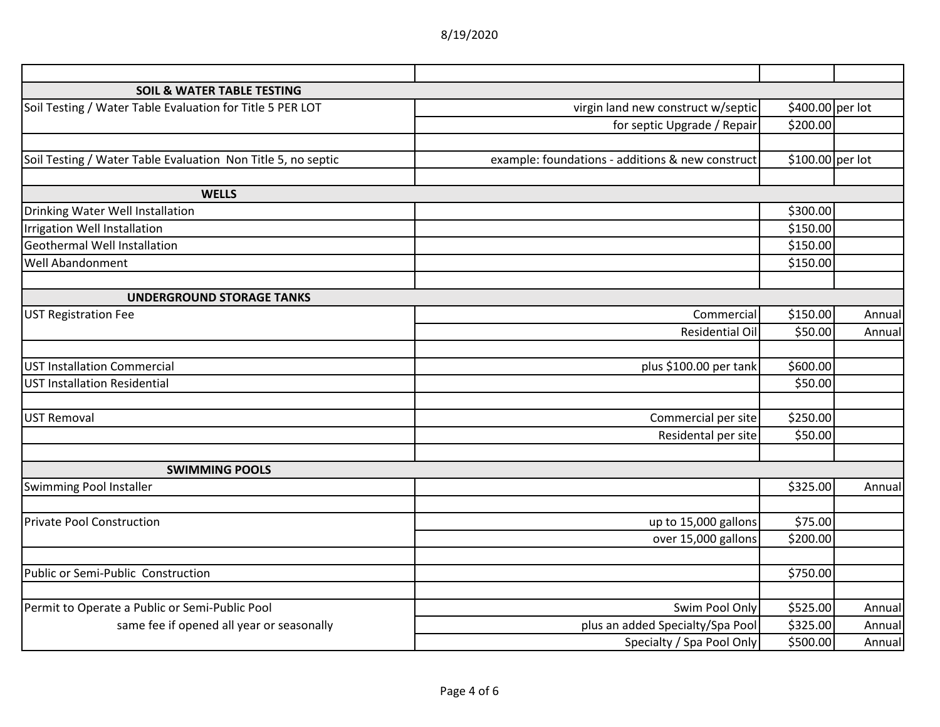| <b>SOIL &amp; WATER TABLE TESTING</b>                        |                                                  |                  |        |
|--------------------------------------------------------------|--------------------------------------------------|------------------|--------|
| Soil Testing / Water Table Evaluation for Title 5 PER LOT    | virgin land new construct w/septic               | \$400.00 per lot |        |
|                                                              | for septic Upgrade / Repair                      | \$200.00         |        |
|                                                              |                                                  |                  |        |
| Soil Testing / Water Table Evaluation Non Title 5, no septic | example: foundations - additions & new construct | \$100.00 per lot |        |
|                                                              |                                                  |                  |        |
| <b>WELLS</b>                                                 |                                                  |                  |        |
| Drinking Water Well Installation                             |                                                  | \$300.00         |        |
| Irrigation Well Installation                                 |                                                  | \$150.00         |        |
| <b>Geothermal Well Installation</b>                          |                                                  | \$150.00         |        |
| Well Abandonment                                             |                                                  | \$150.00         |        |
|                                                              |                                                  |                  |        |
| <b>UNDERGROUND STORAGE TANKS</b>                             |                                                  |                  |        |
| <b>UST Registration Fee</b>                                  | Commercial                                       | \$150.00         | Annual |
|                                                              | Residential Oil                                  | \$50.00          | Annual |
|                                                              |                                                  |                  |        |
| <b>UST Installation Commercial</b>                           | plus \$100.00 per tank                           | \$600.00         |        |
| <b>UST Installation Residential</b>                          |                                                  | \$50.00          |        |
| <b>UST Removal</b>                                           | Commercial per site                              | \$250.00         |        |
|                                                              | Residental per site                              | \$50.00          |        |
|                                                              |                                                  |                  |        |
| <b>SWIMMING POOLS</b>                                        |                                                  |                  |        |
| Swimming Pool Installer                                      |                                                  | \$325.00         | Annual |
|                                                              |                                                  |                  |        |
| <b>Private Pool Construction</b>                             | up to 15,000 gallons                             | \$75.00          |        |
|                                                              | over 15,000 gallons                              | \$200.00         |        |
|                                                              |                                                  |                  |        |
| Public or Semi-Public Construction                           |                                                  | \$750.00         |        |
|                                                              |                                                  |                  |        |
| Permit to Operate a Public or Semi-Public Pool               | Swim Pool Only                                   | \$525.00         | Annual |
| same fee if opened all year or seasonally                    | plus an added Specialty/Spa Pool                 | \$325.00         | Annual |
|                                                              | Specialty / Spa Pool Only                        | \$500.00         | Annual |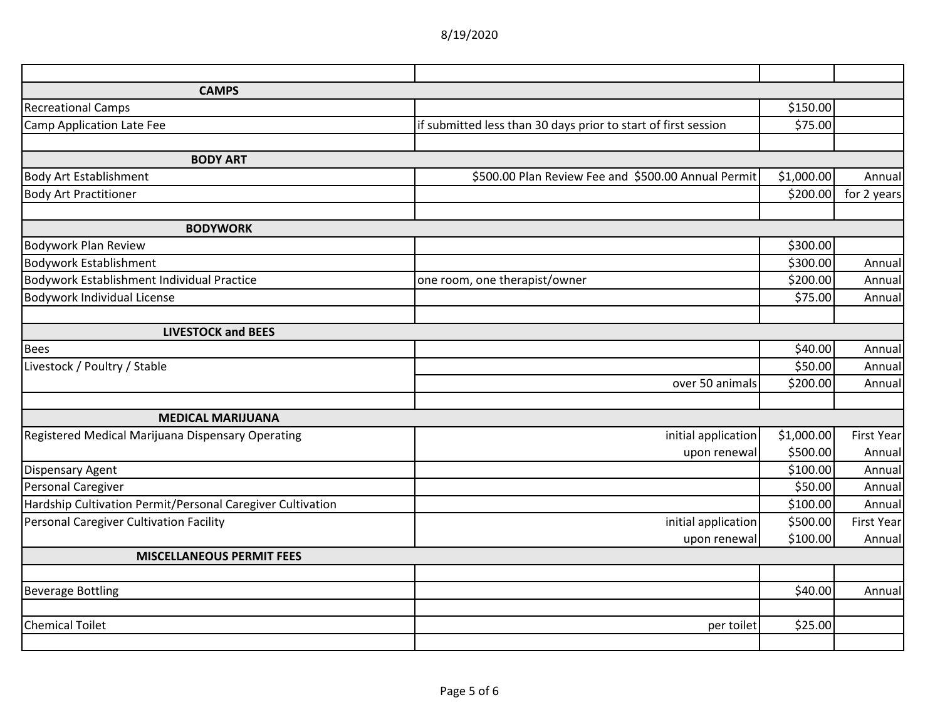| <b>CAMPS</b>                                               |                                                                |            |                   |
|------------------------------------------------------------|----------------------------------------------------------------|------------|-------------------|
| <b>Recreational Camps</b>                                  |                                                                | \$150.00   |                   |
| <b>Camp Application Late Fee</b>                           | if submitted less than 30 days prior to start of first session | \$75.00    |                   |
|                                                            |                                                                |            |                   |
| <b>BODY ART</b>                                            |                                                                |            |                   |
| <b>Body Art Establishment</b>                              | \$500.00 Plan Review Fee and \$500.00 Annual Permit            | \$1,000.00 | Annual            |
| <b>Body Art Practitioner</b>                               |                                                                | \$200.00   | for 2 years       |
|                                                            |                                                                |            |                   |
| <b>BODYWORK</b>                                            |                                                                |            |                   |
| <b>Bodywork Plan Review</b>                                |                                                                | \$300.00   |                   |
| <b>Bodywork Establishment</b>                              |                                                                | \$300.00   | Annual            |
| Bodywork Establishment Individual Practice                 | one room, one therapist/owner                                  | \$200.00   | Annual            |
| Bodywork Individual License                                |                                                                | \$75.00    | Annual            |
|                                                            |                                                                |            |                   |
| <b>LIVESTOCK and BEES</b>                                  |                                                                |            |                   |
| <b>Bees</b>                                                |                                                                | \$40.00    | Annual            |
| Livestock / Poultry / Stable                               |                                                                | \$50.00    | Annual            |
|                                                            | over 50 animals                                                | \$200.00   | Annual            |
| <b>MEDICAL MARIJUANA</b>                                   |                                                                |            |                   |
| Registered Medical Marijuana Dispensary Operating          | initial application                                            | \$1,000.00 | <b>First Year</b> |
|                                                            | upon renewal                                                   | \$500.00   | Annual            |
| <b>Dispensary Agent</b>                                    |                                                                | \$100.00   | Annual            |
| Personal Caregiver                                         |                                                                | \$50.00    | Annual            |
| Hardship Cultivation Permit/Personal Caregiver Cultivation |                                                                | \$100.00   | Annual            |
| Personal Caregiver Cultivation Facility                    | initial application                                            | \$500.00   | <b>First Year</b> |
|                                                            | upon renewal                                                   | \$100.00   | Annual            |
| <b>MISCELLANEOUS PERMIT FEES</b>                           |                                                                |            |                   |
|                                                            |                                                                |            |                   |
| <b>Beverage Bottling</b>                                   |                                                                | \$40.00    | Annual            |
|                                                            |                                                                |            |                   |
| <b>Chemical Toilet</b>                                     | per toilet                                                     | \$25.00    |                   |
|                                                            |                                                                |            |                   |